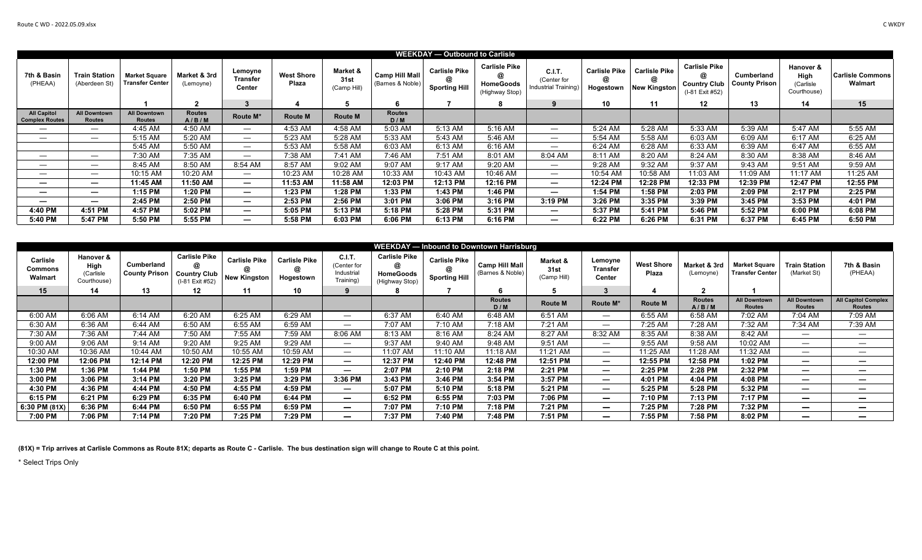| <b>WEEKDAY - Outbound to Carlisle</b>       |                                      |                                         |                           |                               |                            |                                 |                                           |                                                   |                                                                 |                                               |                                        |                                                  |                                                                     |                                    |                                               |                                    |
|---------------------------------------------|--------------------------------------|-----------------------------------------|---------------------------|-------------------------------|----------------------------|---------------------------------|-------------------------------------------|---------------------------------------------------|-----------------------------------------------------------------|-----------------------------------------------|----------------------------------------|--------------------------------------------------|---------------------------------------------------------------------|------------------------------------|-----------------------------------------------|------------------------------------|
| 7th & Basin<br>(PHEAA)                      | Train Station<br>(Aberdeen St)       | <b>Market Square</b><br>Transfer Center | Market & 3rd<br>(Lemoyne) | Lemoyne<br>Transfer<br>Center | <b>West Shore</b><br>Plaza | Market &<br>31st<br>(Camp Hill) | <b>Camp Hill Mall</b><br>(Barnes & Noble) | <b>Carlisle Pike</b><br>@<br><b>Sporting Hill</b> | <b>Carlisle Pike</b><br>a<br><b>HomeGoods</b><br>(Highway Stop) | C.I.T.<br>(Center for<br>Industrial Training) | <b>Carlisle Pike</b><br>@<br>Hogestown | <b>Carlisle Pike</b><br>@<br><b>New Kingston</b> | <b>Carlisle Pike</b><br>@<br><b>Country Club</b><br>(I-81 Exit #52) | Cumberland<br><b>County Prison</b> | Hanover &<br>High<br>(Carlisle<br>Courthouse) | <b>Carlisle Commons</b><br>Walmart |
|                                             |                                      |                                         |                           |                               |                            |                                 |                                           |                                                   |                                                                 |                                               | 10                                     | 11                                               | 12                                                                  | 13                                 | 14                                            | 15                                 |
| <b>All Capitol</b><br><b>Complex Routes</b> | <b>All Downtown</b><br><b>Routes</b> | <b>All Downtown</b><br><b>Routes</b>    | <b>Routes</b><br>A/B/M    | Route M*                      | <b>Route M</b>             | <b>Route M</b>                  | Routes<br>D/M                             |                                                   |                                                                 |                                               |                                        |                                                  |                                                                     |                                    |                                               |                                    |
|                                             |                                      | 4:45 AM                                 | 4:50 AM                   |                               | 4:53 AM                    | 4:58 AM                         | 5:03 AM                                   | 5:13 AM                                           | 5:16 AM                                                         | $\hspace{0.05cm}$                             | 5:24 AM                                | 5:28 AM                                          | 5:33 AM                                                             | 5:39 AM                            | 5:47 AM                                       | 5:55 AM                            |
|                                             |                                      | 5:15 AM                                 | 5:20 AM                   |                               | 5:23 AM                    | 5:28 AM                         | 5:33 AM                                   | 5:43 AM                                           | 5:46 AM                                                         |                                               | 5:54 AM                                | 5:58 AM                                          | 6:03 AM                                                             | 6:09 AM                            | 6:17 AM                                       | 6:25 AM                            |
|                                             |                                      | 5:45 AM                                 | 5:50 AM                   |                               | 5:53 AM                    | 5:58 AM                         | 6:03 AM                                   | 6:13 AM                                           | 6:16 AM                                                         |                                               | 6:24 AM                                | 6:28 AM                                          | 6:33 AM                                                             | 6:39 AM                            | 6:47 AM                                       | 6:55 AM                            |
|                                             | $\hspace{0.05cm}$                    | 7:30 AM                                 | 7:35 AM                   |                               | 7:38 AM                    | 7:41 AM                         | 7:46 AM                                   | 7:51 AM                                           | 8:01 AM                                                         | 8:04 AM                                       | 8:11 AM                                | 8:20 AM                                          | 8:24 AM                                                             | 8:30 AM                            | 8:38 AM                                       | 8:46 AM                            |
|                                             |                                      | 8:45 AM                                 | 8:50 AM                   | 8:54 AM                       | 8:57 AM                    | 9:02 AM                         | 9:07 AM                                   | 9:17 AM                                           | 9:20 AM                                                         | $\hspace{0.05cm}$                             | 9:28 AM                                | 9:32 AM                                          | 9:37 AM                                                             | 9:43 AM                            | 9:51 AM                                       | 9:59 AM                            |
|                                             |                                      | 10:15 AM                                | 10:20 AM                  |                               | 10:23 AM                   | 10:28 AM                        | 10:33 AM                                  | 10:43 AM                                          | 10:46 AM                                                        |                                               | 10:54 AM                               | 10:58 AM                                         | 11:03 AM                                                            | 11:09 AM                           | 11:17 AM                                      | 11:25 AM                           |
|                                             | $\overline{\phantom{0}}$             | 11:45 AM                                | 11:50 AM                  | $\overline{\phantom{0}}$      | 11:53 AM                   | 11:58 AM                        | 12:03 PM                                  | 12:13 PM                                          | 12:16 PM                                                        | $\overline{\phantom{0}}$                      | 12:24 PM                               | 12:28 PM                                         | 12:33 PM                                                            | 12:39 PM                           | 12:47 PM                                      | 12:55 PM                           |
|                                             | $\overline{\phantom{0}}$             | 1:15 PM                                 | 1:20 PM                   | $\overline{\phantom{0}}$      | 1:23 PM                    | 1:28 PM                         | 1:33 PM                                   | 1:43 PM                                           | 1:46 PM                                                         |                                               | 1:54 PM                                | 1:58 PM                                          | 2:03 PM                                                             | 2:09 PM                            | 2:17 PM                                       | 2:25 PM                            |
| —                                           |                                      | 2:45 PM                                 | 2:50 PM                   | $\overline{\phantom{0}}$      | 2:53 PM                    | 2:56 PM                         | 3:01 PM                                   | 3:06 PM                                           | 3:16 PM                                                         | 3:19 PM                                       | 3:26 PM                                | 3:35 PM                                          | 3:39 PM                                                             | 3:45 PM                            | 3:53 PM                                       | 4:01 PM                            |
| 4:40 PM                                     | 4:51 PM                              | 4:57 PM                                 | 5:02 PM                   | $\overline{\phantom{0}}$      | 5:05 PM                    | 5:13 PM                         | 5:18 PM                                   | 5:28 PM                                           | 5:31 PM                                                         |                                               | 5:37 PM                                | 5:41 PM                                          | 5:46 PM                                                             | 5:52 PM                            | 6:00 PM                                       | 6:08 PM                            |
| 5:40 PM                                     | 5:47 PM                              | 5:50 PM                                 | 5:55 PM                   | $\overline{\phantom{0}}$      | 5:58 PM                    | 6:03 PM                         | 6:06 PM                                   | 6:13 PM                                           | 6:16 PM                                                         | $\overline{\phantom{m}}$                      | 6:22 PM                                | 6:26 PM                                          | 6:31 PM                                                             | 6:37 PM                            | 6:45 PM                                       | 6:50 PM                            |

| <b>WEEKDAY</b> — Inbound to Downtown Harrisburg |                                              |                                    |                                                                     |                                                  |                                        |                                                        |                                                                 |                                              |                                           |                                 |                                      |                            |                           |                                         |                                      |                                             |
|-------------------------------------------------|----------------------------------------------|------------------------------------|---------------------------------------------------------------------|--------------------------------------------------|----------------------------------------|--------------------------------------------------------|-----------------------------------------------------------------|----------------------------------------------|-------------------------------------------|---------------------------------|--------------------------------------|----------------------------|---------------------------|-----------------------------------------|--------------------------------------|---------------------------------------------|
| Carlisle<br><b>Commons</b><br>Walmart           | Hanover &<br>High<br>(Carlisle<br>Courthouse | Cumberland<br><b>County Prison</b> | <b>Carlisle Pike</b><br>@<br><b>Country Club</b><br>(I-81 Exit #52) | <b>Carlisle Pike</b><br>a<br><b>New Kingston</b> | <b>Carlisle Pike</b><br>@<br>Hogestown | C.I.T.<br>(Center for<br>Industrial<br><b>Training</b> | <b>Carlisle Pike</b><br>@<br><b>HomeGoods</b><br>(Highway Stop) | <b>Carlisle Pike</b><br><b>Sporting Hill</b> | <b>Camp Hill Mall</b><br>(Barnes & Noble) | Market &<br>31st<br>(Camp Hill) | Lemoyne<br><b>Transfer</b><br>Center | <b>West Shore</b><br>Plaza | Market & 3rd<br>(Lemoyne) | <b>Market Square</b><br>Transfer Center | Train Station<br>(Market St)         | 7th & Basin<br>(PHEAA)                      |
| 15                                              | 14                                           | 13                                 | $12 \,$                                                             | 11                                               | 10                                     | 9                                                      |                                                                 |                                              |                                           |                                 | 3                                    |                            | 2                         |                                         |                                      |                                             |
|                                                 |                                              |                                    |                                                                     |                                                  |                                        |                                                        |                                                                 |                                              | <b>Routes</b><br>D/M                      | <b>Route M</b>                  | Route M*                             | <b>Route M</b>             | <b>Routes</b><br>A/B/M    | <b>All Downtown</b><br><b>Routes</b>    | <b>All Downtown</b><br><b>Routes</b> | <b>All Capitol Complex</b><br><b>Routes</b> |
| 6:00 AM                                         | 6:06 AM                                      | 6:14 AM                            | 6:20 AM                                                             | 6:25 AM                                          | 6:29 AM                                |                                                        | 6:37 AM                                                         | 6:40 AM                                      | 6:48 AM                                   | 6:51 AM                         |                                      | 6:55 AM                    | 6:58 AM                   | 7:02 AM                                 | 7:04 AM                              | 7:09 AM                                     |
| 6:30 AM                                         | 6:36 AM                                      | 6:44 AM                            | 6:50 AM                                                             | 6:55 AM                                          | 6:59 AM                                | $\overline{\phantom{m}}$                               | 7:07 AM                                                         | 7:10 AM                                      | 7:18 AM                                   | 7:21 AM                         |                                      | 7:25 AM                    | 7:28 AM                   | 7:32 AM                                 | 7:34 AM                              | 7:39 AM                                     |
| 7:30 AM                                         | 7:36 AM                                      | 7:44 AM                            | 7:50 AM                                                             | 7:55 AM                                          | 7:59 AM                                | 8:06 AM                                                | 8:13 AM                                                         | 8:16 AM                                      | 8:24 AM                                   | 8:27 AM                         | 8:32 AM                              | 8:35 AM                    | 8:38 AM                   | 8:42 AM                                 |                                      |                                             |
| 9:00 AM                                         | 9:06 AM                                      | 9:14 AM                            | 9:20 AM                                                             | 9:25 AM                                          | 9:29 AM                                | $\overline{\phantom{m}}$                               | 9:37 AM                                                         | 9:40 AM                                      | 9:48 AM                                   | 9:51 AM                         |                                      | 9:55 AM                    | 9:58 AM                   | 10:02 AM                                |                                      |                                             |
| 10:30 AM                                        | 10:36 AM                                     | 10:44 AM                           | 10:50 AM                                                            | 10:55 AM                                         | 10:59 AM                               |                                                        | 11:07 AM                                                        | 11:10 AM                                     | 11:18 AM                                  | 11:21 AM                        |                                      | 11:25 AM                   | 1:28 AM                   | 11:32 AM                                |                                      |                                             |
| 12:00 PM                                        | 12:06 PM                                     | 12:14 PM                           | 12:20 PM                                                            | 12:25 PM                                         | 12:29 PM                               | $\overline{\phantom{0}}$                               | 12:37 PM                                                        | 12:40 PM                                     | 12:48 PM                                  | 12:51 PM                        | $\overline{\phantom{m}}$             | 12:55 PM                   | 12:58 PM                  | 1:02 PM                                 |                                      | —                                           |
| 1:30 PM                                         | 1:36 PM                                      | 1:44 PM                            | 1:50 PM                                                             | 1:55 PM                                          | 1:59 PM                                | $\overline{\phantom{0}}$                               | 2:07 PM                                                         | 2:10 PM                                      | 2:18 PM                                   | 2:21 PM                         | $\overline{\phantom{0}}$             | 2:25 PM                    | 2:28 PM                   | 2:32 PM                                 |                                      | —                                           |
| 3:00 PM                                         | 3:06 PM                                      | 3:14 PM                            | 3:20 PM                                                             | 3:25 PM                                          | 3:29 PM                                | 3:36 PM                                                | 3:43 PM                                                         | 3:46 PM                                      | 3:54 PM                                   | 3:57 PM                         | $\overline{\phantom{0}}$             | 4:01 PM                    | 4:04 PM                   | 4:08 PM                                 |                                      | —                                           |
| 4:30 PM                                         | 4:36 PM                                      | 4:44 PM                            | 4:50 PM                                                             | 4:55 PM                                          | 4:59 PM                                | $\overline{\phantom{0}}$                               | 5:07 PM                                                         | 5:10 PM                                      | 5:18 PM                                   | 5:21 PM                         | $\overline{\phantom{0}}$             | 5:25 PM                    | 5:28 PM                   | 5:32 PM                                 |                                      | —                                           |
| 6:15 PM                                         | 6:21 PM                                      | 6:29 PM                            | 6:35 PM                                                             | 6:40 PM                                          | 6:44 PM                                | $\overline{\phantom{0}}$                               | 6:52 PM                                                         | 6:55 PM                                      | 7:03 PM                                   | 7:06 PM                         | $\overline{\phantom{0}}$             | 7:10 PM                    | 7:13 PM                   | 7:17 PM                                 | $\overline{\phantom{0}}$             | -                                           |
| $6:30$ PM $(81X)$                               | 6:36 PM                                      | 6:44 PM                            | 6:50 PM                                                             | 6:55 PM                                          | 6:59 PM                                | $\qquad \qquad \blacksquare$                           | 7:07 PM                                                         | 7:10 PM                                      | 7:18 PM                                   | 7:21 PM                         | $\overline{\phantom{0}}$             | 7:25 PM                    | 7:28 PM                   | 7:32 PM                                 | $\overline{\phantom{0}}$             | —                                           |
| 7:00 PM                                         | 7:06 PM                                      | 7:14 PM                            | 7:20 PM                                                             | 7:25 PM                                          | 7:29 PM                                | $\overline{\phantom{0}}$                               | 7:37 PM                                                         | 7:40 PM                                      | 7:48 PM                                   | 7:51 PM                         | $\overline{\phantom{0}}$             | 7:55 PM                    | 7:58 PM                   | 8:02 PM                                 | $\overline{\phantom{a}}$             | $\overline{\phantom{0}}$                    |

**(81X) = Trip arrives at Carlisle Commons as Route 81X; departs as Route C - Carlisle. The bus destination sign will change to Route C at this point.**

\* Select Trips Only